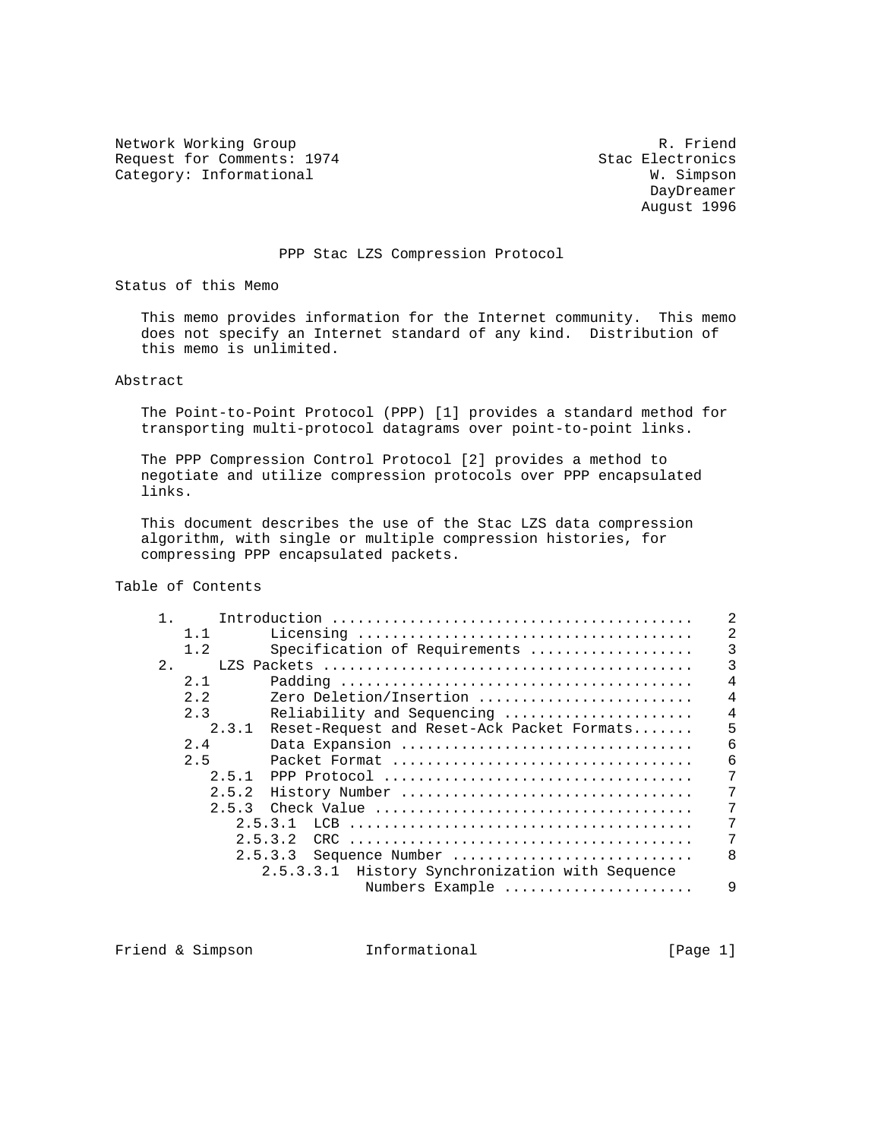Network Working Group<br>Request for Comments: 1974 Stac Electronics Request for Comments: 1974 Stac Electronics<br>
Category: Informational M. Simpson Category: Informational

 DayDreamer August 1996

## PPP Stac LZS Compression Protocol

Status of this Memo

 This memo provides information for the Internet community. This memo does not specify an Internet standard of any kind. Distribution of this memo is unlimited.

Abstract

 The Point-to-Point Protocol (PPP) [1] provides a standard method for transporting multi-protocol datagrams over point-to-point links.

 The PPP Compression Control Protocol [2] provides a method to negotiate and utilize compression protocols over PPP encapsulated links.

 This document describes the use of the Stac LZS data compression algorithm, with single or multiple compression histories, for compressing PPP encapsulated packets.

# Table of Contents

| $\mathbf{1}$ . |       |                                                 | 2              |
|----------------|-------|-------------------------------------------------|----------------|
|                | 1.1   |                                                 | 2              |
|                | 1.2   | Specification of Requirements                   | 3              |
| $2$ .          |       |                                                 | 3              |
|                | 2.1   |                                                 | $\overline{4}$ |
|                | 2.2   | Zero Deletion/Insertion                         | $\overline{4}$ |
|                | 2.3   | Reliability and Sequencing                      | 4              |
|                | 2.3.1 | Reset-Request and Reset-Ack Packet Formats      | 5              |
|                | 2.4   | Data Expansion                                  | 6              |
|                | 2.5   |                                                 | 6              |
|                | 2.5.1 |                                                 | 7              |
|                | 2.5.2 | History Number                                  |                |
|                | 2.5.3 |                                                 | 7              |
|                |       | 2.5.3.1                                         | 7              |
|                |       | 2.5.3.2                                         | 7              |
|                |       | 2.5.3.3<br>Sequence Number                      | $\mathsf{B}$   |
|                |       | 2.5.3.3.1 History Synchronization with Sequence |                |
|                |       | Numbers Example                                 | 9              |
|                |       |                                                 |                |

Friend & Simpson **Informational** [Page 1]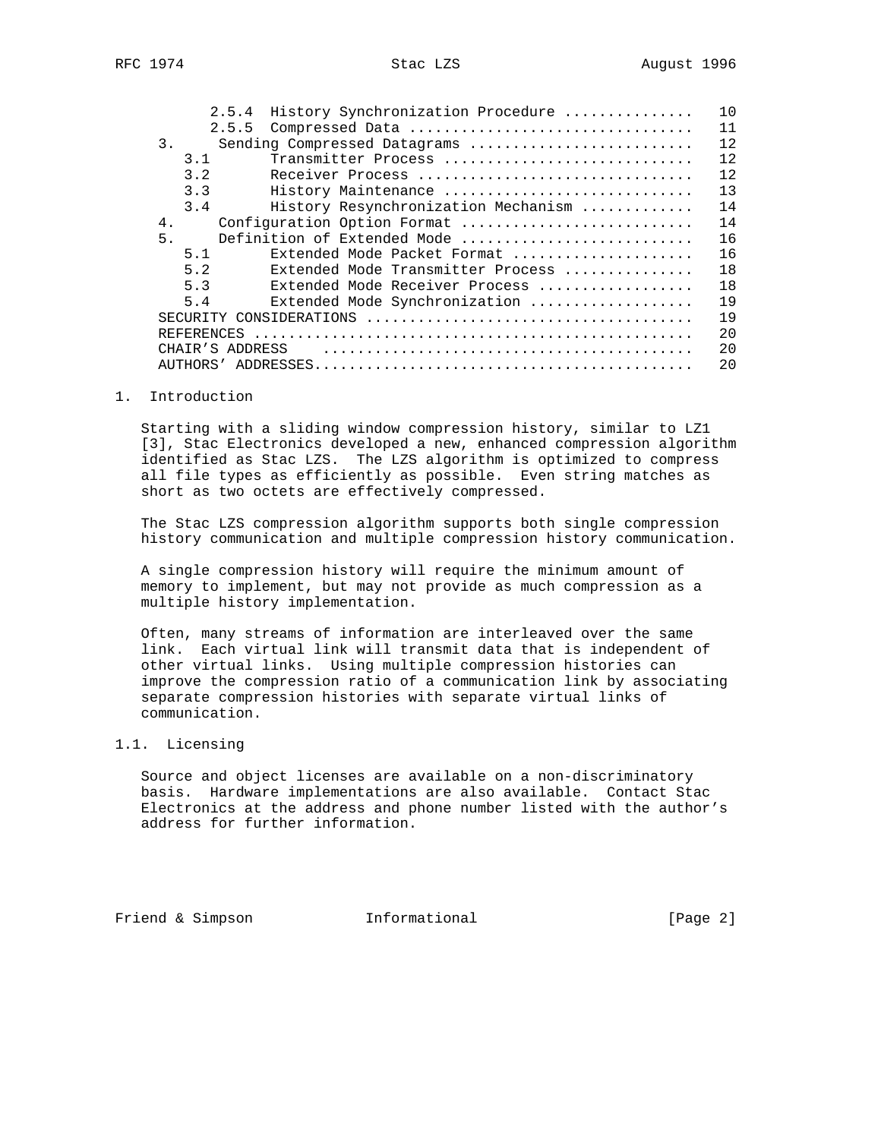|    | 2.5.4           | History Synchronization Procedure   |  |  |  |  | 10 |
|----|-----------------|-------------------------------------|--|--|--|--|----|
|    | 2.5.5           | Compressed Data                     |  |  |  |  | 11 |
| 3. |                 | Sending Compressed Datagrams        |  |  |  |  | 12 |
|    | 3.1             | Transmitter Process                 |  |  |  |  | 12 |
|    | 3.2             | Receiver Process                    |  |  |  |  | 12 |
|    | 3.3             | History Maintenance                 |  |  |  |  | 13 |
|    | 3.4             | History Resynchronization Mechanism |  |  |  |  | 14 |
| 4. |                 | Configuration Option Format         |  |  |  |  | 14 |
| 5. |                 | Definition of Extended Mode         |  |  |  |  | 16 |
|    | 5.1             | Extended Mode Packet Format         |  |  |  |  | 16 |
|    | 5.2             | Extended Mode Transmitter Process   |  |  |  |  | 18 |
|    | 5.3             | Extended Mode Receiver Process      |  |  |  |  | 18 |
|    | 5.4             | Extended Mode Synchronization       |  |  |  |  | 19 |
|    | SECUR TTY       |                                     |  |  |  |  | 19 |
|    | REFERENCES      |                                     |  |  |  |  | 20 |
|    | CHAIR'S ADDRESS |                                     |  |  |  |  | 20 |
|    | AUTHORS'        |                                     |  |  |  |  | 20 |

## 1. Introduction

 Starting with a sliding window compression history, similar to LZ1 [3], Stac Electronics developed a new, enhanced compression algorithm identified as Stac LZS. The LZS algorithm is optimized to compress all file types as efficiently as possible. Even string matches as short as two octets are effectively compressed.

 The Stac LZS compression algorithm supports both single compression history communication and multiple compression history communication.

 A single compression history will require the minimum amount of memory to implement, but may not provide as much compression as a multiple history implementation.

 Often, many streams of information are interleaved over the same link. Each virtual link will transmit data that is independent of other virtual links. Using multiple compression histories can improve the compression ratio of a communication link by associating separate compression histories with separate virtual links of communication.

## 1.1. Licensing

 Source and object licenses are available on a non-discriminatory basis. Hardware implementations are also available. Contact Stac Electronics at the address and phone number listed with the author's address for further information.

Friend & Simpson **Informational** [Page 2]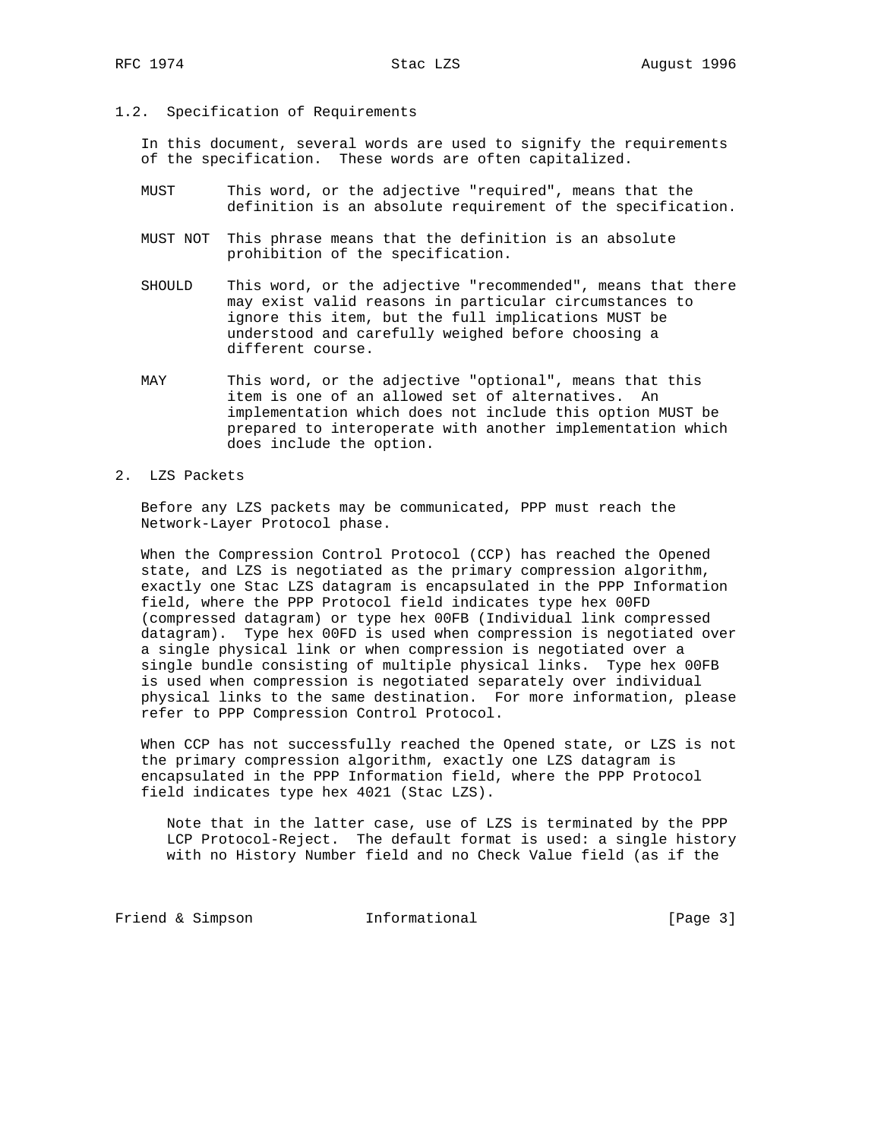1.2. Specification of Requirements

 In this document, several words are used to signify the requirements of the specification. These words are often capitalized.

- MUST This word, or the adjective "required", means that the definition is an absolute requirement of the specification.
- MUST NOT This phrase means that the definition is an absolute prohibition of the specification.
- SHOULD This word, or the adjective "recommended", means that there may exist valid reasons in particular circumstances to ignore this item, but the full implications MUST be understood and carefully weighed before choosing a different course.
- MAY This word, or the adjective "optional", means that this item is one of an allowed set of alternatives. An implementation which does not include this option MUST be prepared to interoperate with another implementation which does include the option.
- 2. LZS Packets

 Before any LZS packets may be communicated, PPP must reach the Network-Layer Protocol phase.

 When the Compression Control Protocol (CCP) has reached the Opened state, and LZS is negotiated as the primary compression algorithm, exactly one Stac LZS datagram is encapsulated in the PPP Information field, where the PPP Protocol field indicates type hex 00FD (compressed datagram) or type hex 00FB (Individual link compressed datagram). Type hex 00FD is used when compression is negotiated over a single physical link or when compression is negotiated over a single bundle consisting of multiple physical links. Type hex 00FB is used when compression is negotiated separately over individual physical links to the same destination. For more information, please refer to PPP Compression Control Protocol.

When CCP has not successfully reached the Opened state, or LZS is not the primary compression algorithm, exactly one LZS datagram is encapsulated in the PPP Information field, where the PPP Protocol field indicates type hex 4021 (Stac LZS).

 Note that in the latter case, use of LZS is terminated by the PPP LCP Protocol-Reject. The default format is used: a single history with no History Number field and no Check Value field (as if the

Friend & Simpson Informational [Page 3]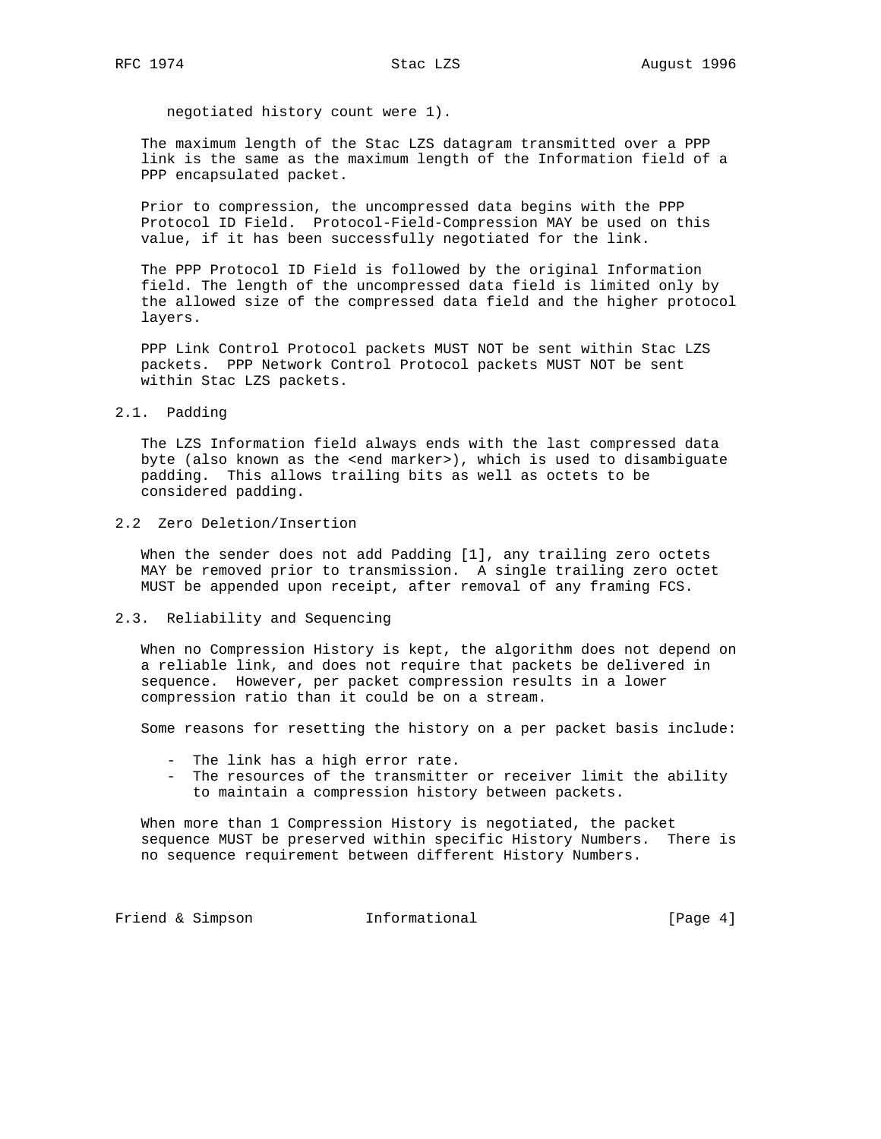negotiated history count were 1).

 The maximum length of the Stac LZS datagram transmitted over a PPP link is the same as the maximum length of the Information field of a PPP encapsulated packet.

 Prior to compression, the uncompressed data begins with the PPP Protocol ID Field. Protocol-Field-Compression MAY be used on this value, if it has been successfully negotiated for the link.

 The PPP Protocol ID Field is followed by the original Information field. The length of the uncompressed data field is limited only by the allowed size of the compressed data field and the higher protocol layers.

 PPP Link Control Protocol packets MUST NOT be sent within Stac LZS packets. PPP Network Control Protocol packets MUST NOT be sent within Stac LZS packets.

2.1. Padding

 The LZS Information field always ends with the last compressed data byte (also known as the <end marker>), which is used to disambiguate padding. This allows trailing bits as well as octets to be considered padding.

2.2 Zero Deletion/Insertion

 When the sender does not add Padding [1], any trailing zero octets MAY be removed prior to transmission. A single trailing zero octet MUST be appended upon receipt, after removal of any framing FCS.

2.3. Reliability and Sequencing

 When no Compression History is kept, the algorithm does not depend on a reliable link, and does not require that packets be delivered in sequence. However, per packet compression results in a lower compression ratio than it could be on a stream.

Some reasons for resetting the history on a per packet basis include:

- The link has a high error rate.
- The resources of the transmitter or receiver limit the ability to maintain a compression history between packets.

 When more than 1 Compression History is negotiated, the packet sequence MUST be preserved within specific History Numbers. There is no sequence requirement between different History Numbers.

Friend & Simpson **Informational** [Page 4]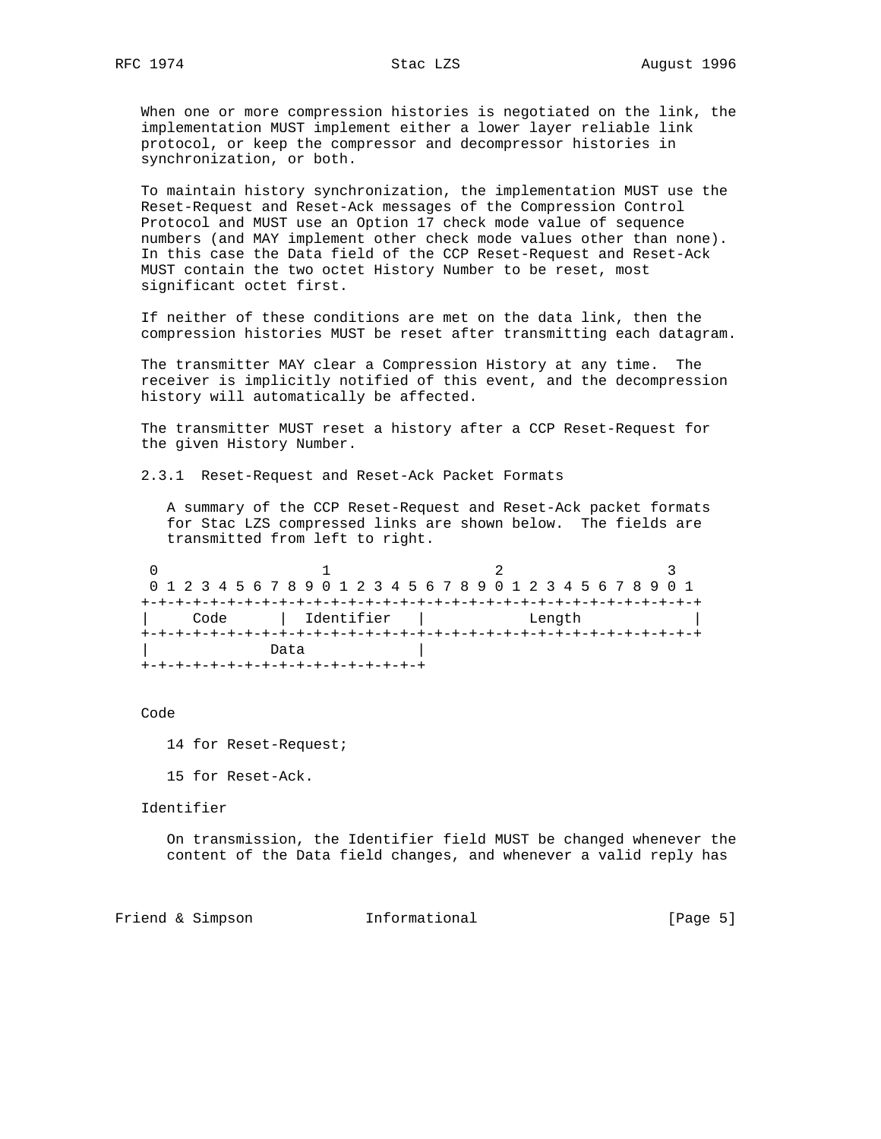When one or more compression histories is negotiated on the link, the implementation MUST implement either a lower layer reliable link protocol, or keep the compressor and decompressor histories in synchronization, or both.

 To maintain history synchronization, the implementation MUST use the Reset-Request and Reset-Ack messages of the Compression Control Protocol and MUST use an Option 17 check mode value of sequence numbers (and MAY implement other check mode values other than none). In this case the Data field of the CCP Reset-Request and Reset-Ack MUST contain the two octet History Number to be reset, most significant octet first.

 If neither of these conditions are met on the data link, then the compression histories MUST be reset after transmitting each datagram.

 The transmitter MAY clear a Compression History at any time. The receiver is implicitly notified of this event, and the decompression history will automatically be affected.

 The transmitter MUST reset a history after a CCP Reset-Request for the given History Number.

2.3.1 Reset-Request and Reset-Ack Packet Formats

 A summary of the CCP Reset-Request and Reset-Ack packet formats for Stac LZS compressed links are shown below. The fields are transmitted from left to right.

0  $1$  2 3 0 1 2 3 4 5 6 7 8 9 0 1 2 3 4 5 6 7 8 9 0 1 2 3 4 5 6 7 8 9 0 1 +-+-+-+-+-+-+-+-+-+-+-+-+-+-+-+-+-+-+-+-+-+-+-+-+-+-+-+-+-+-+-+-+ | Code | Identifier | Length | +-+-+-+-+-+-+-+-+-+-+-+-+-+-+-+-+-+-+-+-+-+-+-+-+-+-+-+-+-+-+-+-+ Data +-+-+-+-+-+-+-+-+-+-+-+-+-+-+-+-+

#### Code

- 14 for Reset-Request;
- 15 for Reset-Ack.

Identifier

 On transmission, the Identifier field MUST be changed whenever the content of the Data field changes, and whenever a valid reply has

Friend & Simpson **Informational** [Page 5]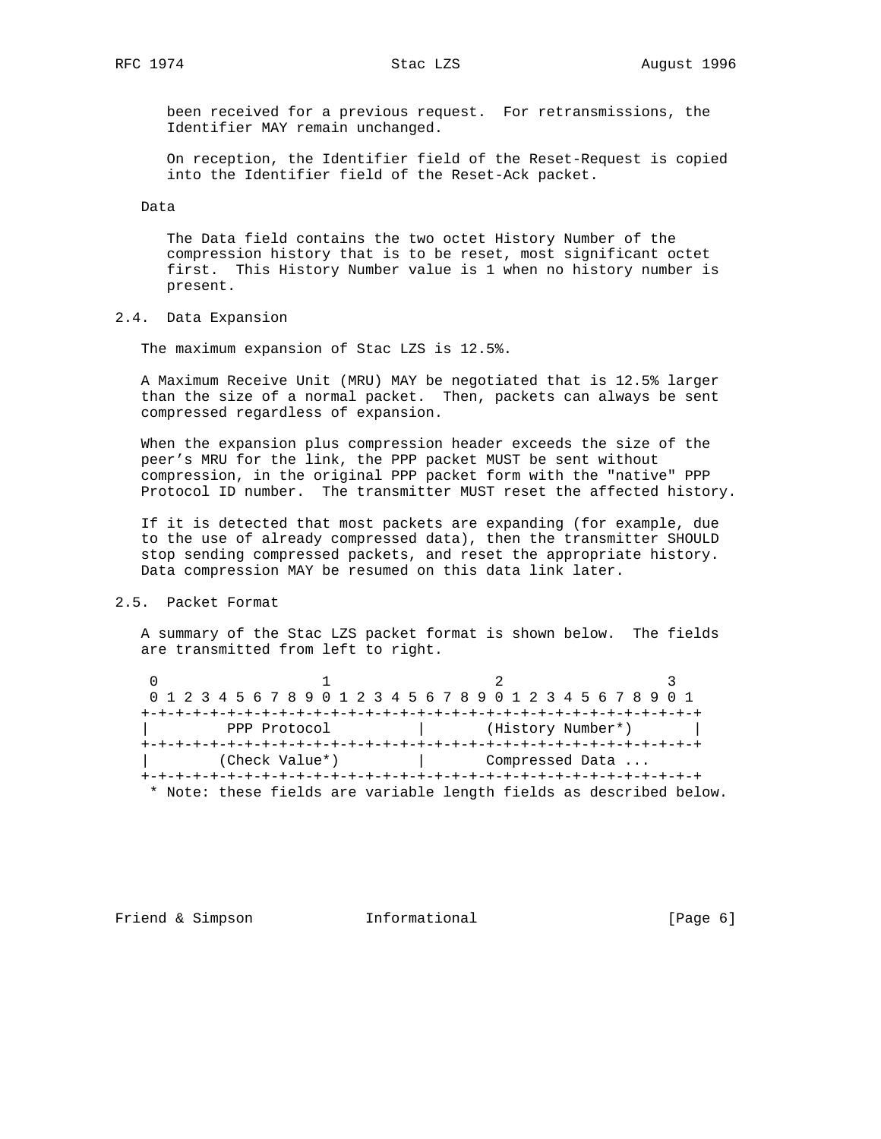been received for a previous request. For retransmissions, the Identifier MAY remain unchanged.

 On reception, the Identifier field of the Reset-Request is copied into the Identifier field of the Reset-Ack packet.

Data

 The Data field contains the two octet History Number of the compression history that is to be reset, most significant octet first. This History Number value is 1 when no history number is present.

# 2.4. Data Expansion

The maximum expansion of Stac LZS is 12.5%.

 A Maximum Receive Unit (MRU) MAY be negotiated that is 12.5% larger than the size of a normal packet. Then, packets can always be sent compressed regardless of expansion.

 When the expansion plus compression header exceeds the size of the peer's MRU for the link, the PPP packet MUST be sent without compression, in the original PPP packet form with the "native" PPP Protocol ID number. The transmitter MUST reset the affected history.

 If it is detected that most packets are expanding (for example, due to the use of already compressed data), then the transmitter SHOULD stop sending compressed packets, and reset the appropriate history. Data compression MAY be resumed on this data link later.

## 2.5. Packet Format

 A summary of the Stac LZS packet format is shown below. The fields are transmitted from left to right.

0  $1$  2 3 0 1 2 3 4 5 6 7 8 9 0 1 2 3 4 5 6 7 8 9 0 1 2 3 4 5 6 7 8 9 0 1 +-+-+-+-+-+-+-+-+-+-+-+-+-+-+-+-+-+-+-+-+-+-+-+-+-+-+-+-+-+-+-+-+ PPP Protocol  $|$  (History Number\*) +-+-+-+-+-+-+-+-+-+-+-+-+-+-+-+-+-+-+-+-+-+-+-+-+-+-+-+-+-+-+-+-+ | (Check Value\*) | Compressed Data ... +-+-+-+-+-+-+-+-+-+-+-+-+-+-+-+-+-+-+-+-+-+-+-+-+-+-+-+-+-+-+-+-+ \* Note: these fields are variable length fields as described below.

Friend & Simpson **Informational** [Page 6]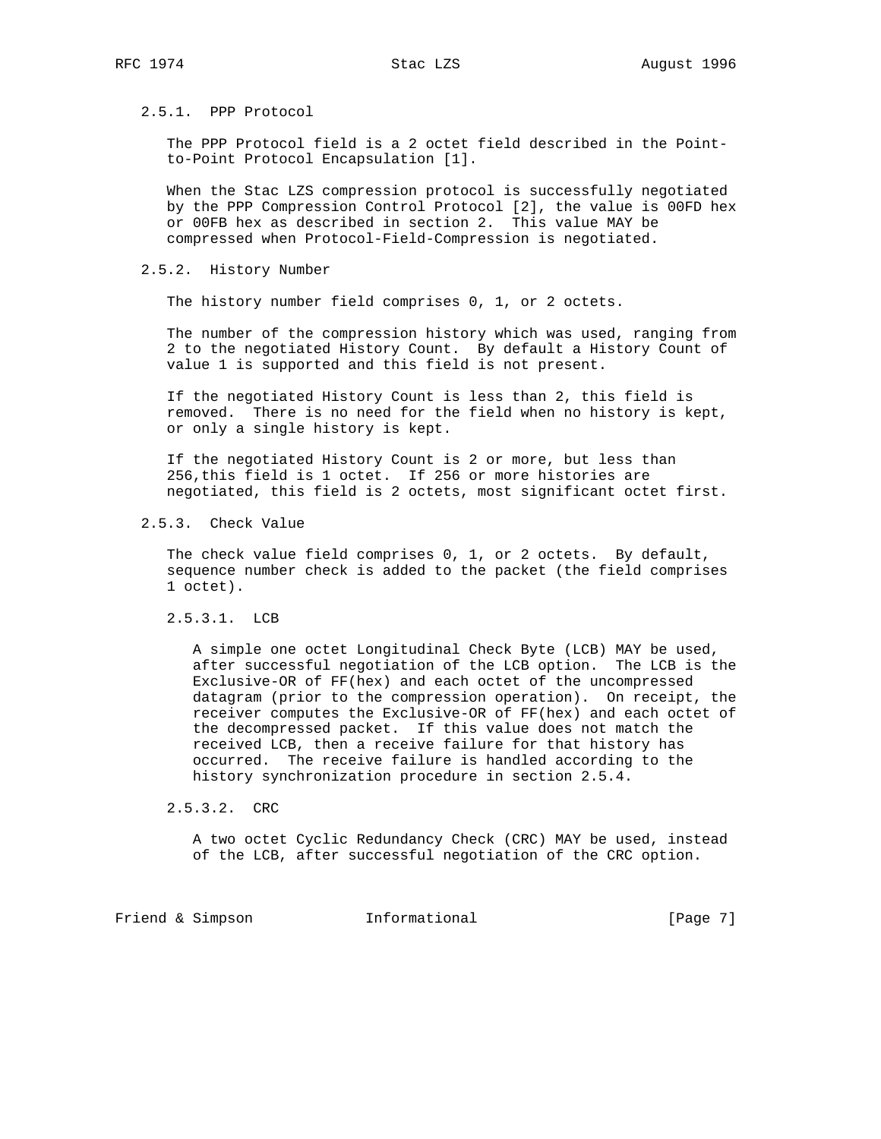## 2.5.1. PPP Protocol

 The PPP Protocol field is a 2 octet field described in the Point to-Point Protocol Encapsulation [1].

 When the Stac LZS compression protocol is successfully negotiated by the PPP Compression Control Protocol [2], the value is 00FD hex or 00FB hex as described in section 2. This value MAY be compressed when Protocol-Field-Compression is negotiated.

## 2.5.2. History Number

The history number field comprises 0, 1, or 2 octets.

 The number of the compression history which was used, ranging from 2 to the negotiated History Count. By default a History Count of value 1 is supported and this field is not present.

 If the negotiated History Count is less than 2, this field is removed. There is no need for the field when no history is kept, or only a single history is kept.

 If the negotiated History Count is 2 or more, but less than 256,this field is 1 octet. If 256 or more histories are negotiated, this field is 2 octets, most significant octet first.

2.5.3. Check Value

 The check value field comprises 0, 1, or 2 octets. By default, sequence number check is added to the packet (the field comprises 1 octet).

2.5.3.1. LCB

 A simple one octet Longitudinal Check Byte (LCB) MAY be used, after successful negotiation of the LCB option. The LCB is the Exclusive-OR of FF(hex) and each octet of the uncompressed datagram (prior to the compression operation). On receipt, the receiver computes the Exclusive-OR of FF(hex) and each octet of the decompressed packet. If this value does not match the received LCB, then a receive failure for that history has occurred. The receive failure is handled according to the history synchronization procedure in section 2.5.4.

2.5.3.2. CRC

 A two octet Cyclic Redundancy Check (CRC) MAY be used, instead of the LCB, after successful negotiation of the CRC option.

Friend & Simpson Informational [Page 7]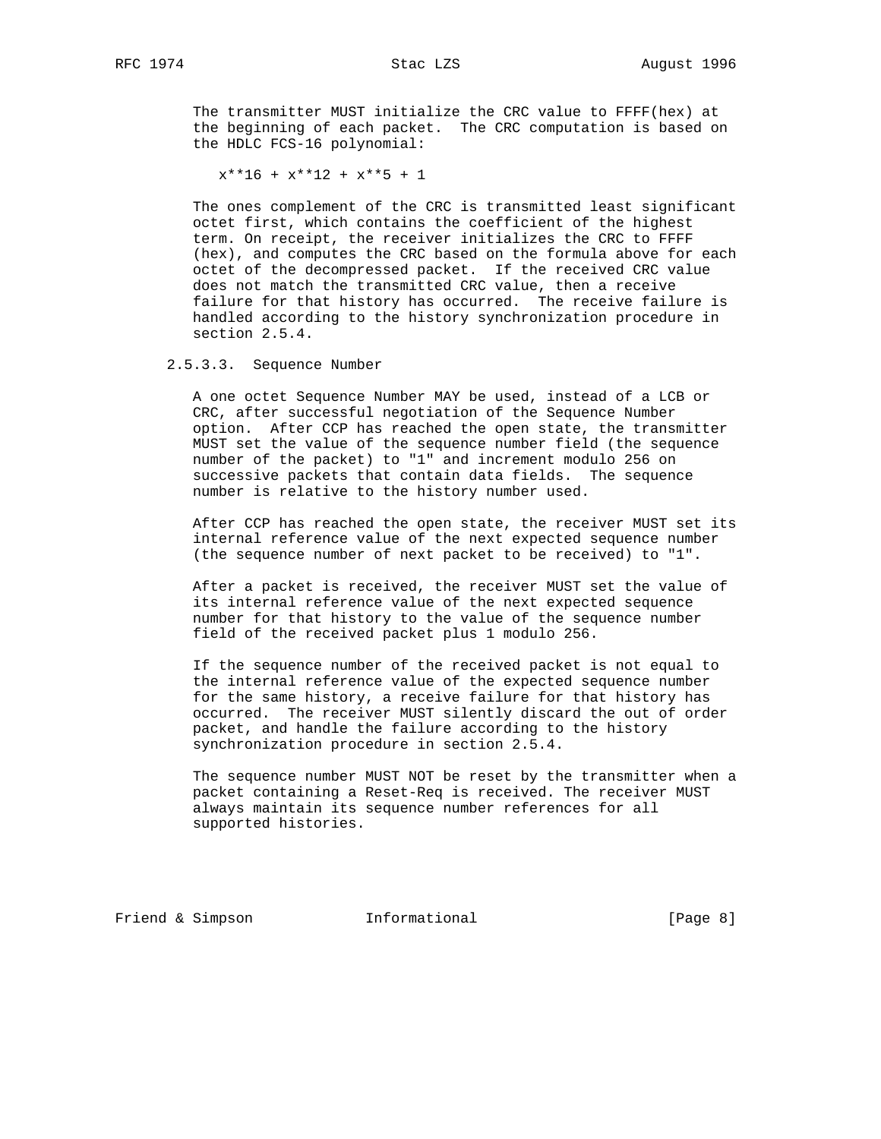The transmitter MUST initialize the CRC value to FFFF(hex) at the beginning of each packet. The CRC computation is based on the HDLC FCS-16 polynomial:

 $x***16 + x***12 + x***5 + 1$ 

 The ones complement of the CRC is transmitted least significant octet first, which contains the coefficient of the highest term. On receipt, the receiver initializes the CRC to FFFF (hex), and computes the CRC based on the formula above for each octet of the decompressed packet. If the received CRC value does not match the transmitted CRC value, then a receive failure for that history has occurred. The receive failure is handled according to the history synchronization procedure in section 2.5.4.

2.5.3.3. Sequence Number

 A one octet Sequence Number MAY be used, instead of a LCB or CRC, after successful negotiation of the Sequence Number option. After CCP has reached the open state, the transmitter MUST set the value of the sequence number field (the sequence number of the packet) to "1" and increment modulo 256 on successive packets that contain data fields. The sequence number is relative to the history number used.

 After CCP has reached the open state, the receiver MUST set its internal reference value of the next expected sequence number (the sequence number of next packet to be received) to "1".

 After a packet is received, the receiver MUST set the value of its internal reference value of the next expected sequence number for that history to the value of the sequence number field of the received packet plus 1 modulo 256.

 If the sequence number of the received packet is not equal to the internal reference value of the expected sequence number for the same history, a receive failure for that history has occurred. The receiver MUST silently discard the out of order packet, and handle the failure according to the history synchronization procedure in section 2.5.4.

 The sequence number MUST NOT be reset by the transmitter when a packet containing a Reset-Req is received. The receiver MUST always maintain its sequence number references for all supported histories.

Friend & Simpson Informational [Page 8]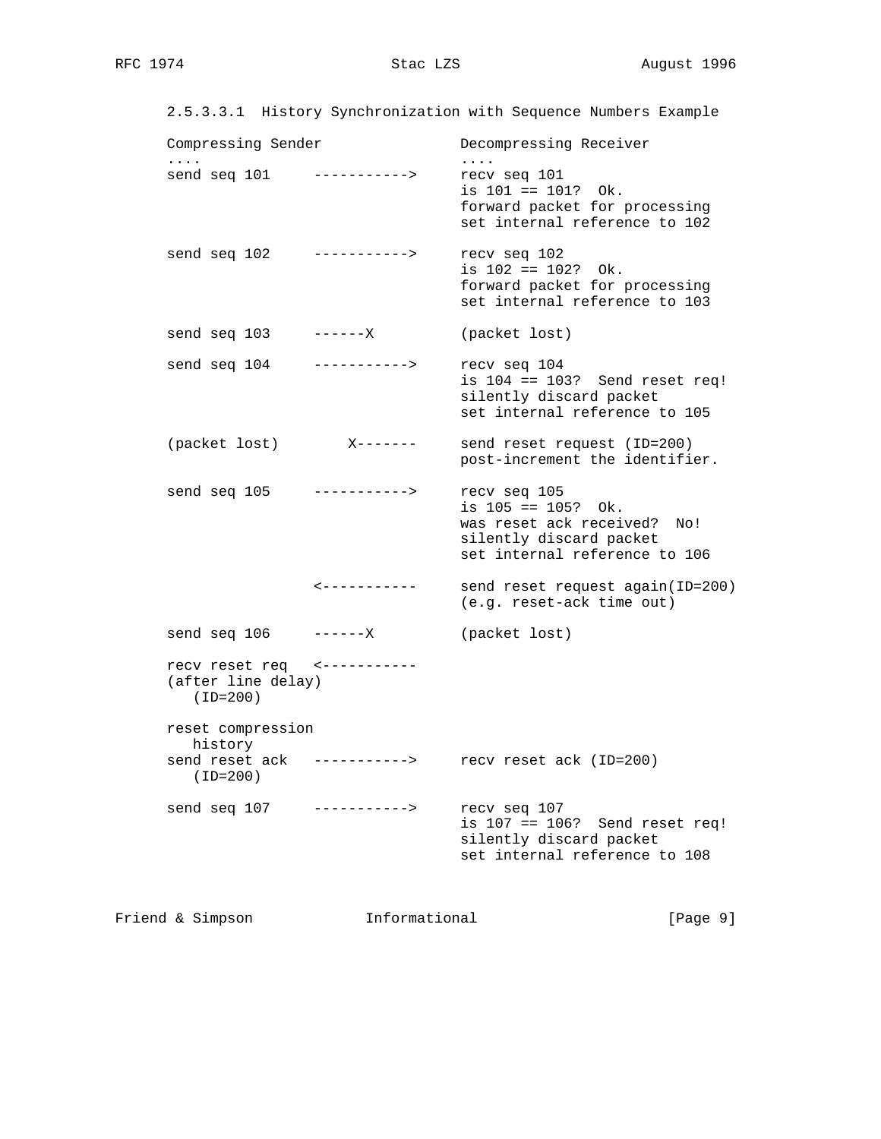|                    | 2.5.3.3.1 History Synchronization with Sequence Numbers Example |                        |  |
|--------------------|-----------------------------------------------------------------|------------------------|--|
| Compressing Sender |                                                                 | Decompressing Receiver |  |

| $\cdots$<br>send seq 101                                        | $-----------$     | $\cdots$<br>recv seq 101<br>is 101 == 101? Ok.<br>forward packet for processing<br>set internal reference to 102                   |
|-----------------------------------------------------------------|-------------------|------------------------------------------------------------------------------------------------------------------------------------|
| send seq 102                                                    | ----------->      | recv seq 102<br>is $102 == 102?$ Ok.<br>forward packet for processing<br>set internal reference to 103                             |
| send seq 103                                                    | – – – – – – X     | (packet lost)                                                                                                                      |
| send seq 104                                                    | ----------->      | recv seq 104<br>is $104 == 103$ ? Send reset req!<br>silently discard packet<br>set internal reference to 105                      |
| (packet lost)                                                   | $X - - - - - - -$ | send reset request (ID=200)<br>post-increment the identifier.                                                                      |
| send seq 105                                                    | $-----------$     | recv seq 105<br>is $105 == 105?$ Ok.<br>was reset ack received?<br>No!<br>silently discard packet<br>set internal reference to 106 |
|                                                                 | <-----------      | send reset request again(ID=200)<br>(e.g. reset-ack time out)                                                                      |
| send seq 106                                                    | ------X           | (packet lost)                                                                                                                      |
| recv reset req <-----------<br>(after line delay)<br>$(ID=200)$ |                   |                                                                                                                                    |
| reset compression<br>history                                    |                   |                                                                                                                                    |
| send reset ack -----------><br>$(ID=200)$                       |                   | recv reset ack (ID=200)                                                                                                            |
| send seq 107 ----------->                                       |                   | recv seq 107<br>is $107 == 106$ ? Send reset req!<br>silently discard packet<br>set internal reference to 108                      |
|                                                                 |                   |                                                                                                                                    |

Friend & Simpson Informational [Page 9]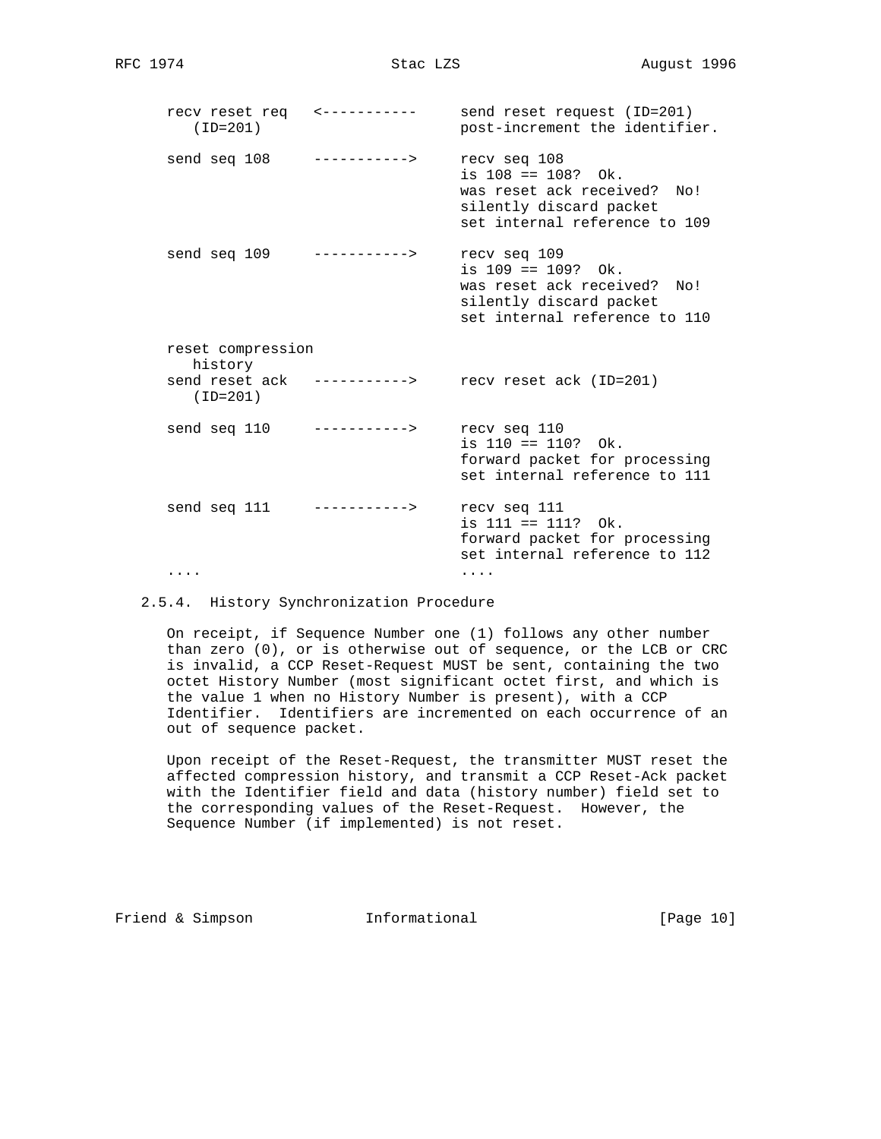recv reset req <----------- send reset request (ID=201) (ID=201) post-increment the identifier. send seq 108 -----------> recv seq 108 is 108 == 108? Ok. was reset ack received? No! silently discard packet set internal reference to 109 send seq 109 -----------> recv seq 109 is 109 == 109? Ok. was reset ack received? No! silently discard packet set internal reference to 110 reset compression history send reset ack -----------> recv reset ack (ID=201) (ID=201) send seq 110 -----------> recv seq 110 is 110 == 110? Ok. forward packet for processing set internal reference to 111 send seq 111 -----------> recv seq 111 is 111 == 111? Ok. forward packet for processing set internal reference to 112 .... ....

2.5.4. History Synchronization Procedure

 On receipt, if Sequence Number one (1) follows any other number than zero (0), or is otherwise out of sequence, or the LCB or CRC is invalid, a CCP Reset-Request MUST be sent, containing the two octet History Number (most significant octet first, and which is the value 1 when no History Number is present), with a CCP Identifier. Identifiers are incremented on each occurrence of an out of sequence packet.

 Upon receipt of the Reset-Request, the transmitter MUST reset the affected compression history, and transmit a CCP Reset-Ack packet with the Identifier field and data (history number) field set to the corresponding values of the Reset-Request. However, the Sequence Number (if implemented) is not reset.

Friend & Simpson **Informational** [Page 10]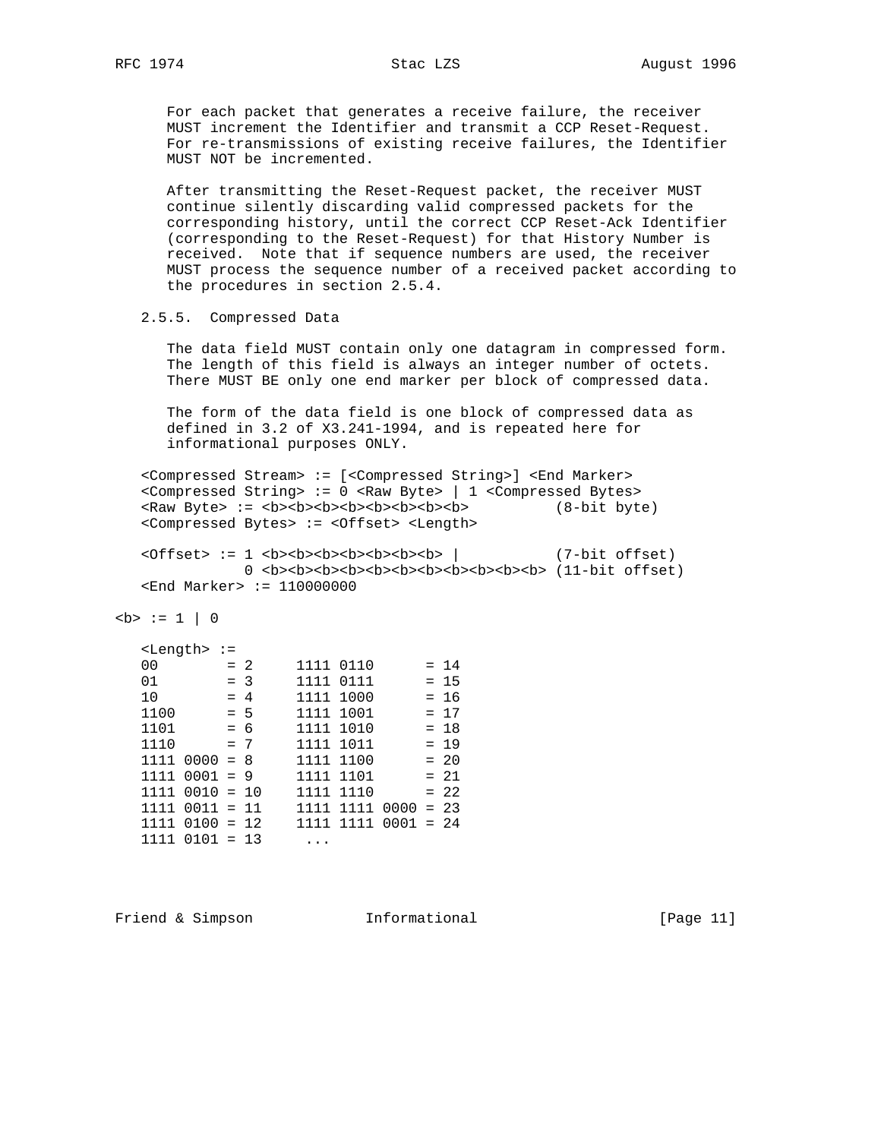For each packet that generates a receive failure, the receiver MUST increment the Identifier and transmit a CCP Reset-Request. For re-transmissions of existing receive failures, the Identifier MUST NOT be incremented.

 After transmitting the Reset-Request packet, the receiver MUST continue silently discarding valid compressed packets for the corresponding history, until the correct CCP Reset-Ack Identifier (corresponding to the Reset-Request) for that History Number is received. Note that if sequence numbers are used, the receiver MUST process the sequence number of a received packet according to the procedures in section 2.5.4.

2.5.5. Compressed Data

 The data field MUST contain only one datagram in compressed form. The length of this field is always an integer number of octets. There MUST BE only one end marker per block of compressed data.

 The form of the data field is one block of compressed data as defined in 3.2 of X3.241-1994, and is repeated here for informational purposes ONLY.

 <Compressed Stream> := [<Compressed String>] <End Marker> <Compressed String> := 0 <Raw Byte> | 1 <Compressed Bytes> <Raw Byte> := <b><b><b><b><b><b><b><b> (8-bit byte) <Compressed Bytes> := <Offset> <Length>

 <Offset> := 1 <b><b><b><b><b><b><b> | (7-bit offset) 0  **cb><b>>>>>>>>>>>>>>>>>>>>>>>>>>>> (11-bit offset)** <End Marker> := 110000000

 $$ 

|      | <length> :=</length> |       |        |           |      |             |         |
|------|----------------------|-------|--------|-----------|------|-------------|---------|
| 00   |                      | $= 2$ |        | 1111 0110 |      |             | $= 14$  |
| 01   |                      | $=$ 3 |        | 1111      | 0111 |             | $= 15$  |
| 10   |                      | $= 4$ |        | 1111      | 1000 |             | $= 16$  |
| 1100 |                      | $= 5$ |        | 1111      | 1001 |             | $= 17$  |
| 1101 |                      | $= 6$ |        | 1111      | 1010 |             | $= 18$  |
| 1110 |                      | $= 7$ |        | 1111      | 1011 |             | $= 19$  |
| 1111 | $0000 = 8$           |       |        | 1111 1100 |      |             | $= 20$  |
| 1111 | $0001 = 9$           |       |        | 1111      | 1101 |             | $= 2.1$ |
| 1111 | $0010 = 10$          |       |        | 1111      | 1110 |             | $= 22$  |
| 1111 | $0011 = 11$          |       |        | 1111      | 1111 | $0000 = 23$ |         |
| 1111 | $0100 = 12$          |       |        | 1111      | 1111 | $0001 = 24$ |         |
| 1111 | 0101                 |       | $= 13$ |           |      |             |         |
|      |                      |       |        |           |      |             |         |

Friend & Simpson **Informational** [Page 11]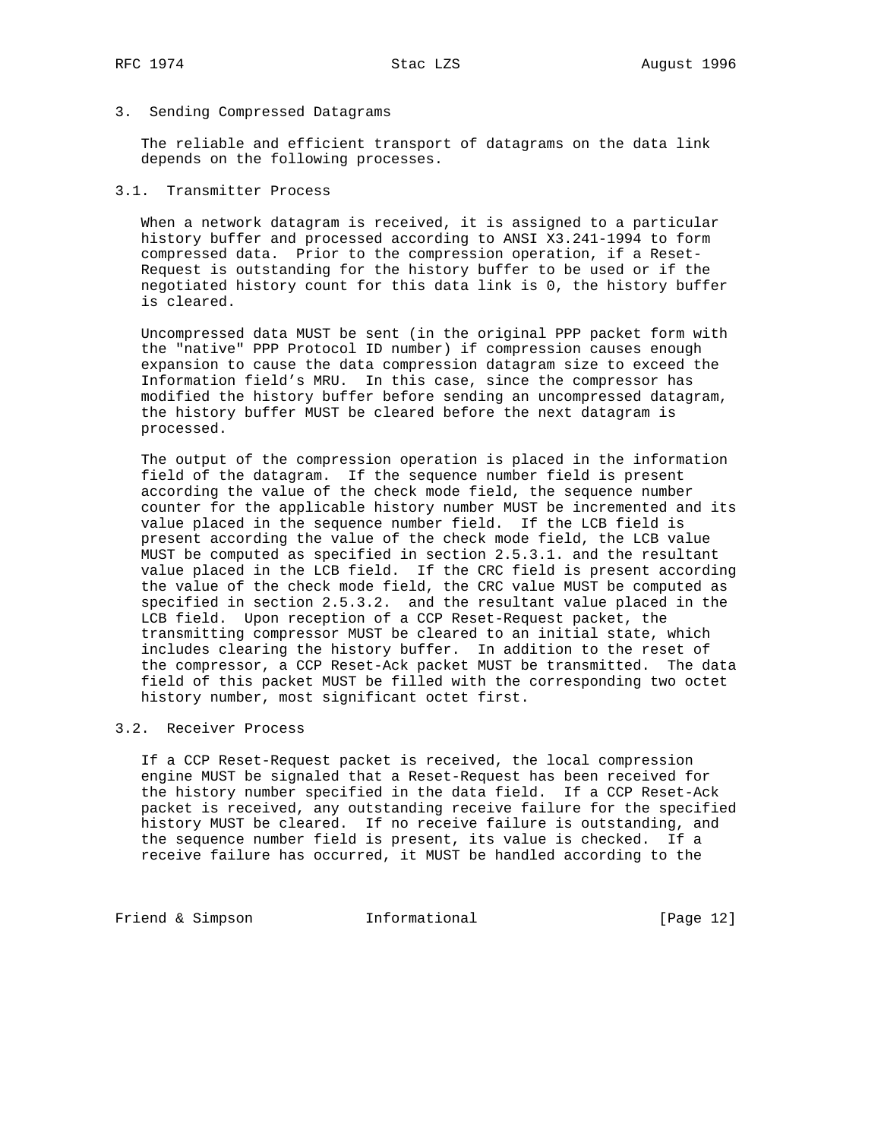## 3. Sending Compressed Datagrams

 The reliable and efficient transport of datagrams on the data link depends on the following processes.

# 3.1. Transmitter Process

 When a network datagram is received, it is assigned to a particular history buffer and processed according to ANSI X3.241-1994 to form compressed data. Prior to the compression operation, if a Reset- Request is outstanding for the history buffer to be used or if the negotiated history count for this data link is 0, the history buffer is cleared.

 Uncompressed data MUST be sent (in the original PPP packet form with the "native" PPP Protocol ID number) if compression causes enough expansion to cause the data compression datagram size to exceed the Information field's MRU. In this case, since the compressor has modified the history buffer before sending an uncompressed datagram, the history buffer MUST be cleared before the next datagram is processed.

 The output of the compression operation is placed in the information field of the datagram. If the sequence number field is present according the value of the check mode field, the sequence number counter for the applicable history number MUST be incremented and its value placed in the sequence number field. If the LCB field is present according the value of the check mode field, the LCB value MUST be computed as specified in section 2.5.3.1. and the resultant value placed in the LCB field. If the CRC field is present according the value of the check mode field, the CRC value MUST be computed as specified in section 2.5.3.2. and the resultant value placed in the LCB field. Upon reception of a CCP Reset-Request packet, the transmitting compressor MUST be cleared to an initial state, which includes clearing the history buffer. In addition to the reset of the compressor, a CCP Reset-Ack packet MUST be transmitted. The data field of this packet MUST be filled with the corresponding two octet history number, most significant octet first.

## 3.2. Receiver Process

 If a CCP Reset-Request packet is received, the local compression engine MUST be signaled that a Reset-Request has been received for the history number specified in the data field. If a CCP Reset-Ack packet is received, any outstanding receive failure for the specified history MUST be cleared. If no receive failure is outstanding, and the sequence number field is present, its value is checked. If a receive failure has occurred, it MUST be handled according to the

Friend & Simpson Informational [Page 12]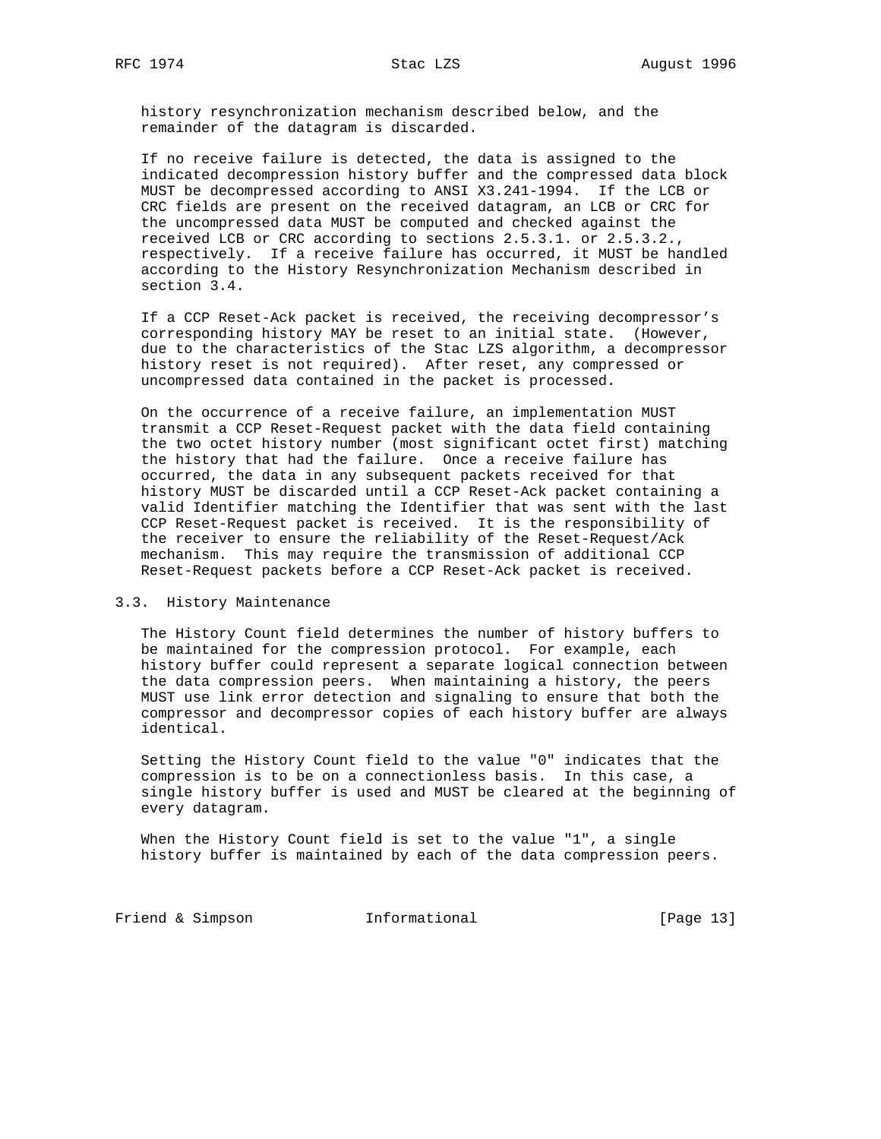history resynchronization mechanism described below, and the remainder of the datagram is discarded.

 If no receive failure is detected, the data is assigned to the indicated decompression history buffer and the compressed data block MUST be decompressed according to ANSI X3.241-1994. If the LCB or CRC fields are present on the received datagram, an LCB or CRC for the uncompressed data MUST be computed and checked against the received LCB or CRC according to sections 2.5.3.1. or 2.5.3.2., respectively. If a receive failure has occurred, it MUST be handled according to the History Resynchronization Mechanism described in section 3.4.

 If a CCP Reset-Ack packet is received, the receiving decompressor's corresponding history MAY be reset to an initial state. (However, due to the characteristics of the Stac LZS algorithm, a decompressor history reset is not required). After reset, any compressed or uncompressed data contained in the packet is processed.

 On the occurrence of a receive failure, an implementation MUST transmit a CCP Reset-Request packet with the data field containing the two octet history number (most significant octet first) matching the history that had the failure. Once a receive failure has occurred, the data in any subsequent packets received for that history MUST be discarded until a CCP Reset-Ack packet containing a valid Identifier matching the Identifier that was sent with the last CCP Reset-Request packet is received. It is the responsibility of the receiver to ensure the reliability of the Reset-Request/Ack mechanism. This may require the transmission of additional CCP Reset-Request packets before a CCP Reset-Ack packet is received.

#### 3.3. History Maintenance

 The History Count field determines the number of history buffers to be maintained for the compression protocol. For example, each history buffer could represent a separate logical connection between the data compression peers. When maintaining a history, the peers MUST use link error detection and signaling to ensure that both the compressor and decompressor copies of each history buffer are always identical.

 Setting the History Count field to the value "0" indicates that the compression is to be on a connectionless basis. In this case, a single history buffer is used and MUST be cleared at the beginning of every datagram.

 When the History Count field is set to the value "1", a single history buffer is maintained by each of the data compression peers.

Friend & Simpson Informational [Page 13]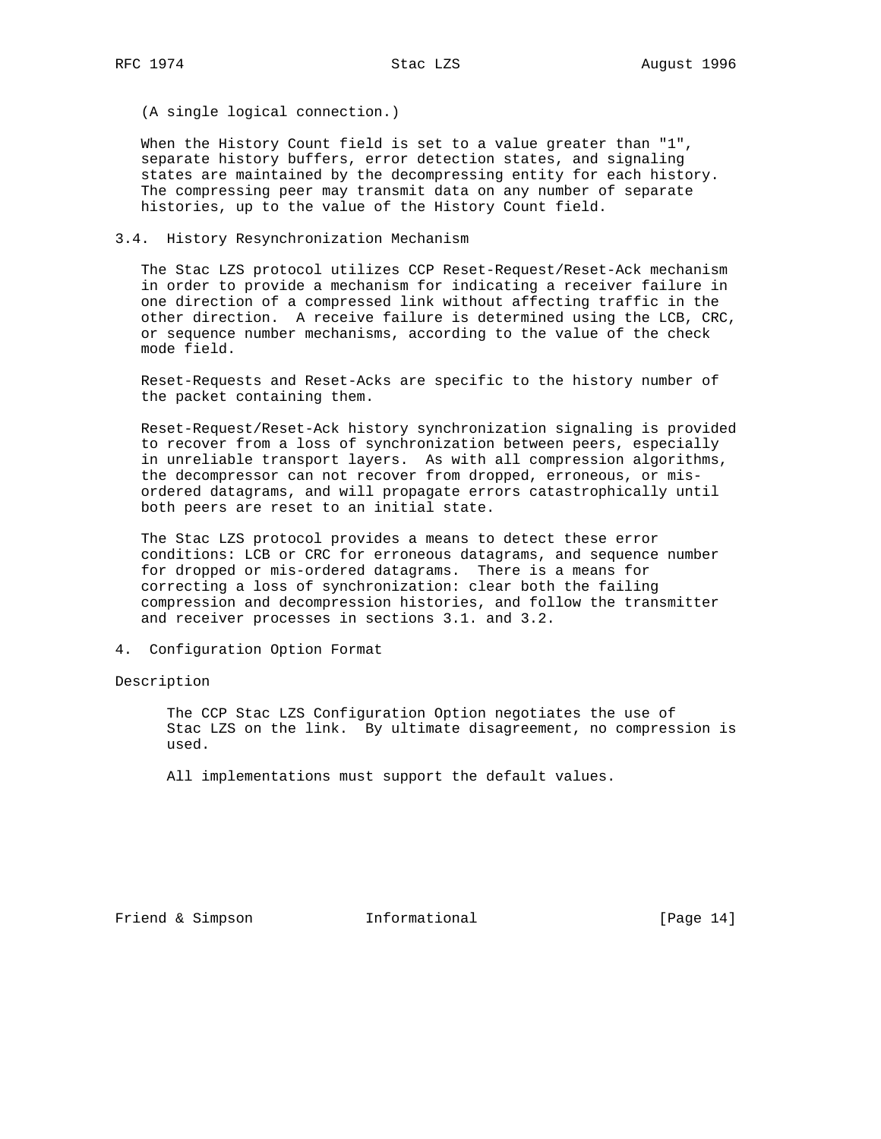(A single logical connection.)

When the History Count field is set to a value greater than "1", separate history buffers, error detection states, and signaling states are maintained by the decompressing entity for each history. The compressing peer may transmit data on any number of separate histories, up to the value of the History Count field.

#### 3.4. History Resynchronization Mechanism

 The Stac LZS protocol utilizes CCP Reset-Request/Reset-Ack mechanism in order to provide a mechanism for indicating a receiver failure in one direction of a compressed link without affecting traffic in the other direction. A receive failure is determined using the LCB, CRC, or sequence number mechanisms, according to the value of the check mode field.

 Reset-Requests and Reset-Acks are specific to the history number of the packet containing them.

 Reset-Request/Reset-Ack history synchronization signaling is provided to recover from a loss of synchronization between peers, especially in unreliable transport layers. As with all compression algorithms, the decompressor can not recover from dropped, erroneous, or mis ordered datagrams, and will propagate errors catastrophically until both peers are reset to an initial state.

 The Stac LZS protocol provides a means to detect these error conditions: LCB or CRC for erroneous datagrams, and sequence number for dropped or mis-ordered datagrams. There is a means for correcting a loss of synchronization: clear both the failing compression and decompression histories, and follow the transmitter and receiver processes in sections 3.1. and 3.2.

4. Configuration Option Format

Description

 The CCP Stac LZS Configuration Option negotiates the use of Stac LZS on the link. By ultimate disagreement, no compression is used.

All implementations must support the default values.

Friend & Simpson **Informational** [Page 14]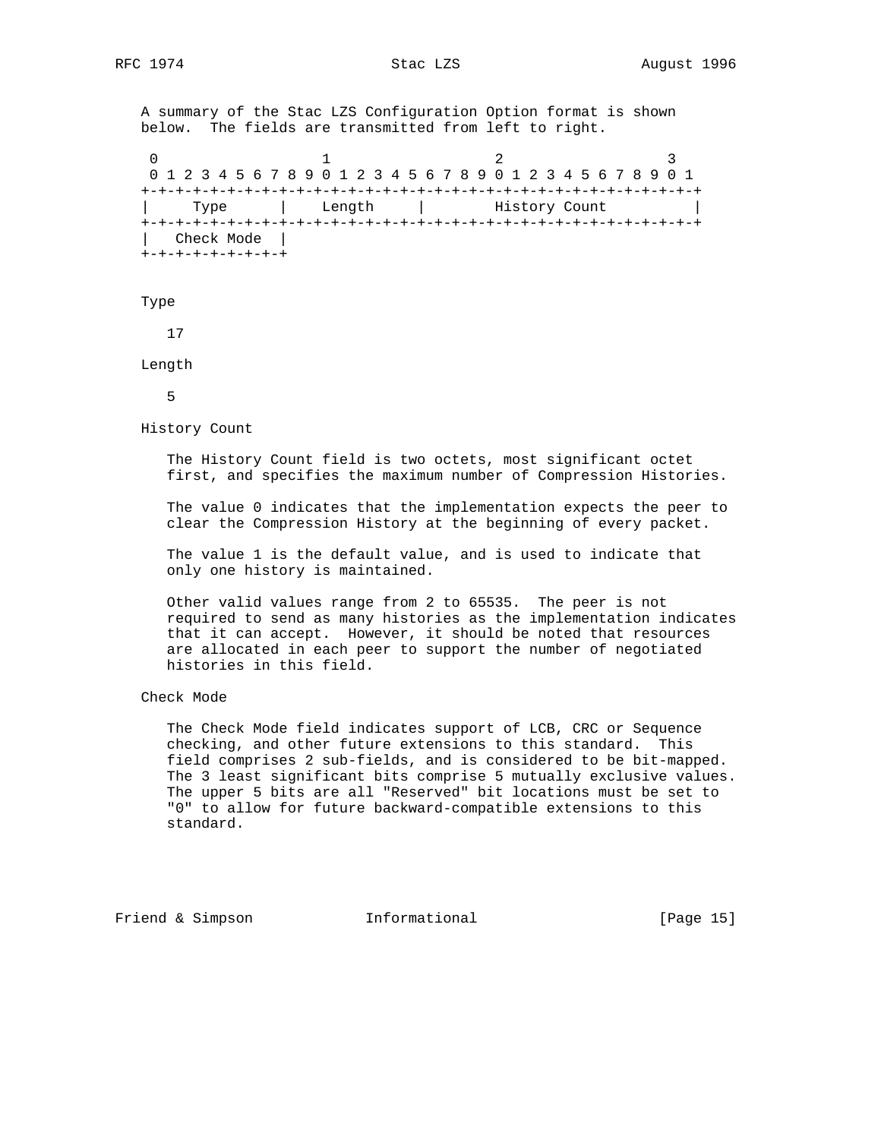A summary of the Stac LZS Configuration Option format is shown below. The fields are transmitted from left to right.

0  $1$  2 3 0 1 2 3 4 5 6 7 8 9 0 1 2 3 4 5 6 7 8 9 0 1 2 3 4 5 6 7 8 9 0 1 +-+-+-+-+-+-+-+-+-+-+-+-+-+-+-+-+-+-+-+-+-+-+-+-+-+-+-+-+-+-+-+-+ Type | Length | History Count +-+-+-+-+-+-+-+-+-+-+-+-+-+-+-+-+-+-+-+-+-+-+-+-+-+-+-+-+-+-+-+-+ | Check Mode | +-+-+-+-+-+-+-+-+

### Type

17

Length

5

History Count

 The History Count field is two octets, most significant octet first, and specifies the maximum number of Compression Histories.

 The value 0 indicates that the implementation expects the peer to clear the Compression History at the beginning of every packet.

 The value 1 is the default value, and is used to indicate that only one history is maintained.

 Other valid values range from 2 to 65535. The peer is not required to send as many histories as the implementation indicates that it can accept. However, it should be noted that resources are allocated in each peer to support the number of negotiated histories in this field.

## Check Mode

 The Check Mode field indicates support of LCB, CRC or Sequence checking, and other future extensions to this standard. This field comprises 2 sub-fields, and is considered to be bit-mapped. The 3 least significant bits comprise 5 mutually exclusive values. The upper 5 bits are all "Reserved" bit locations must be set to "0" to allow for future backward-compatible extensions to this standard.

Friend & Simpson **Informational** [Page 15]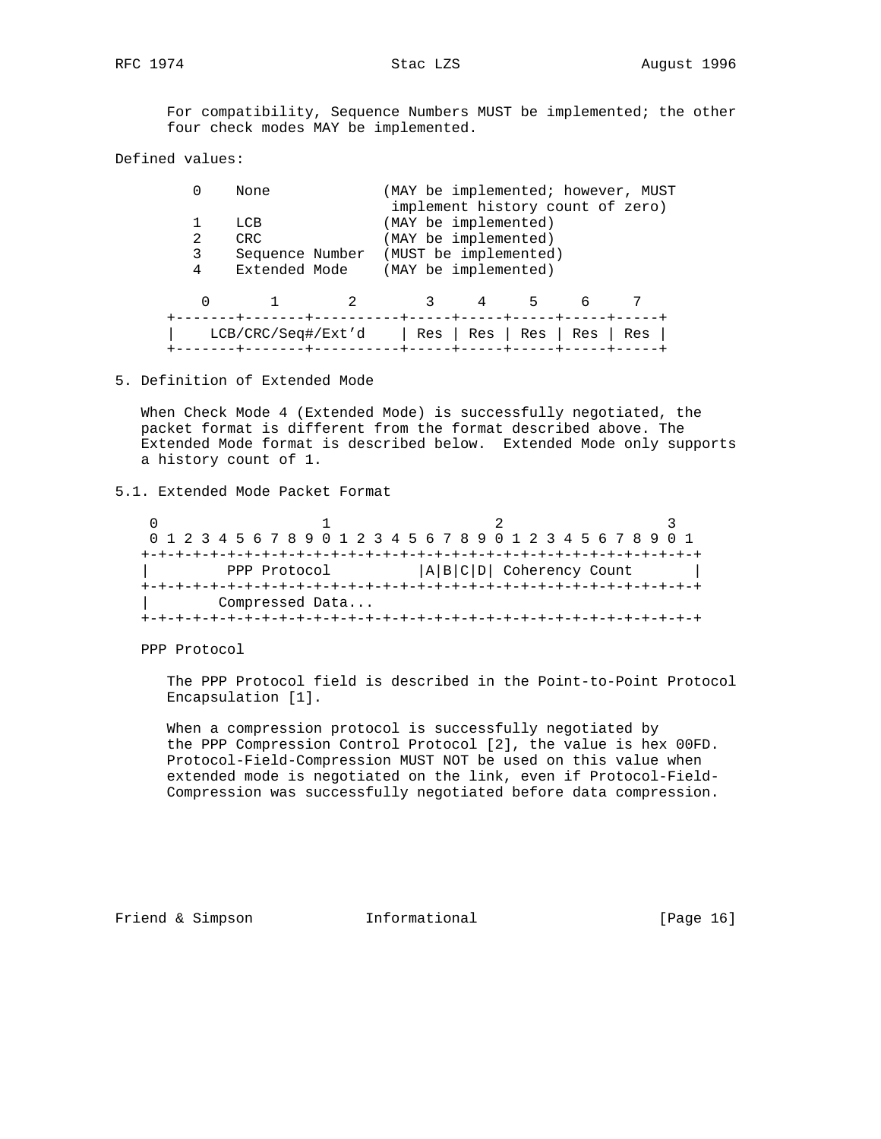For compatibility, Sequence Numbers MUST be implemented; the other four check modes MAY be implemented.

Defined values:

|   | None               |  |                         |  | (MAY be implemented; however, MUST |
|---|--------------------|--|-------------------------|--|------------------------------------|
|   |                    |  |                         |  | implement history count of zero)   |
|   | T.CB               |  | (MAY be implemented)    |  |                                    |
|   | CRC.               |  | (MAY be implemented)    |  |                                    |
| 3 | Sequence Number    |  | (MUST be implemented)   |  |                                    |
| 4 | Extended Mode      |  | (MAY be implemented)    |  |                                    |
|   |                    |  |                         |  |                                    |
|   | LCB/CRC/Seq#/Ext'd |  | $Res$   Res   Res   Res |  | Res                                |

5. Definition of Extended Mode

 When Check Mode 4 (Extended Mode) is successfully negotiated, the packet format is different from the format described above. The Extended Mode format is described below. Extended Mode only supports a history count of 1.

## 5.1. Extended Mode Packet Format

| 0 1 2 3 4 5 6 7 8 9 0 1 2 3 4 5 6 7 8 9 0 1 2 3 4 5 6 7 8 9 0 1 |  |  |  |  |  |  |  |  |  |  |  |  |                             |  |  |  |  |  |  |  |  |  |  |
|-----------------------------------------------------------------|--|--|--|--|--|--|--|--|--|--|--|--|-----------------------------|--|--|--|--|--|--|--|--|--|--|
|                                                                 |  |  |  |  |  |  |  |  |  |  |  |  |                             |  |  |  |  |  |  |  |  |  |  |
| PPP Protocol                                                    |  |  |  |  |  |  |  |  |  |  |  |  | $ A B C D $ Coherency Count |  |  |  |  |  |  |  |  |  |  |
|                                                                 |  |  |  |  |  |  |  |  |  |  |  |  |                             |  |  |  |  |  |  |  |  |  |  |
| Compressed Data                                                 |  |  |  |  |  |  |  |  |  |  |  |  |                             |  |  |  |  |  |  |  |  |  |  |
|                                                                 |  |  |  |  |  |  |  |  |  |  |  |  |                             |  |  |  |  |  |  |  |  |  |  |

PPP Protocol

 The PPP Protocol field is described in the Point-to-Point Protocol Encapsulation [1].

 When a compression protocol is successfully negotiated by the PPP Compression Control Protocol [2], the value is hex 00FD. Protocol-Field-Compression MUST NOT be used on this value when extended mode is negotiated on the link, even if Protocol-Field- Compression was successfully negotiated before data compression.

Friend & Simpson **Informational** [Page 16]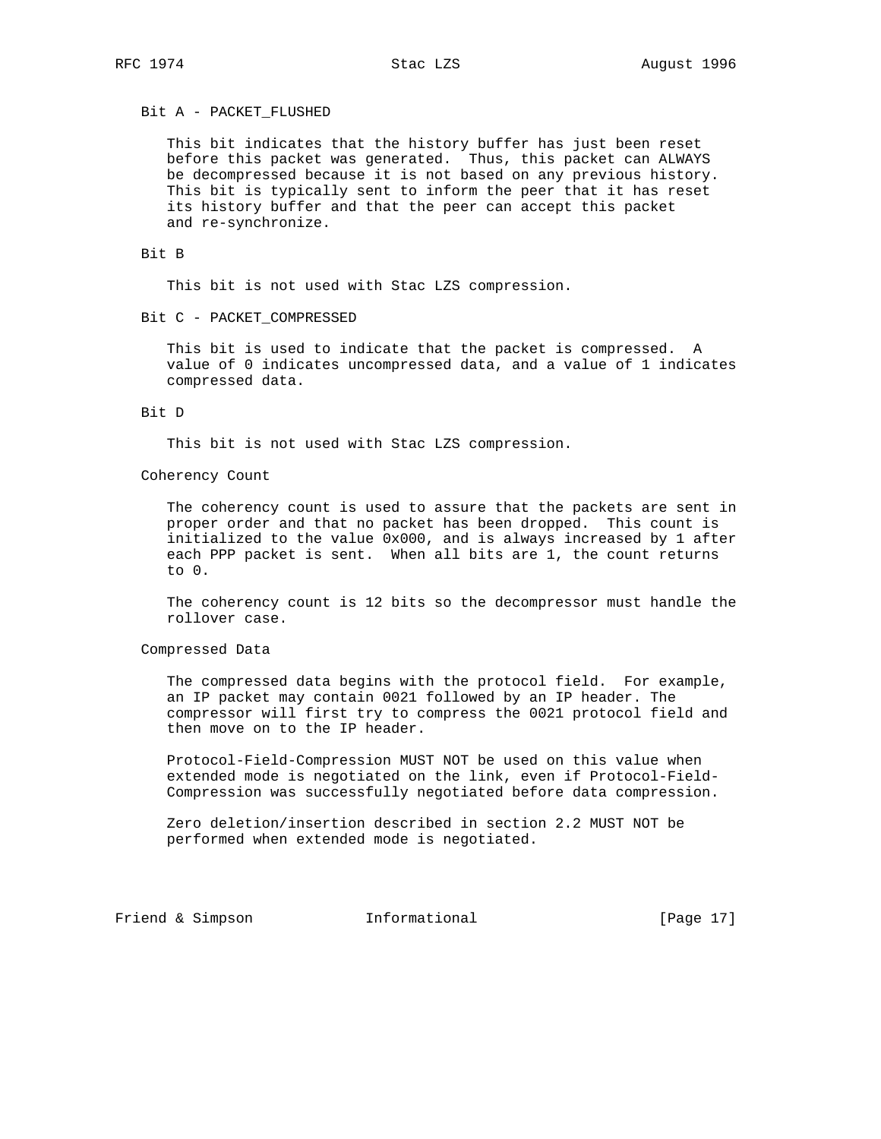#### Bit A - PACKET\_FLUSHED

 This bit indicates that the history buffer has just been reset before this packet was generated. Thus, this packet can ALWAYS be decompressed because it is not based on any previous history. This bit is typically sent to inform the peer that it has reset its history buffer and that the peer can accept this packet and re-synchronize.

## Bit B

This bit is not used with Stac LZS compression.

Bit C - PACKET\_COMPRESSED

 This bit is used to indicate that the packet is compressed. A value of 0 indicates uncompressed data, and a value of 1 indicates compressed data.

#### Bit D

This bit is not used with Stac LZS compression.

## Coherency Count

 The coherency count is used to assure that the packets are sent in proper order and that no packet has been dropped. This count is initialized to the value 0x000, and is always increased by 1 after each PPP packet is sent. When all bits are 1, the count returns to 0.

 The coherency count is 12 bits so the decompressor must handle the rollover case.

## Compressed Data

 The compressed data begins with the protocol field. For example, an IP packet may contain 0021 followed by an IP header. The compressor will first try to compress the 0021 protocol field and then move on to the IP header.

 Protocol-Field-Compression MUST NOT be used on this value when extended mode is negotiated on the link, even if Protocol-Field- Compression was successfully negotiated before data compression.

 Zero deletion/insertion described in section 2.2 MUST NOT be performed when extended mode is negotiated.

Friend & Simpson **Informational** [Page 17]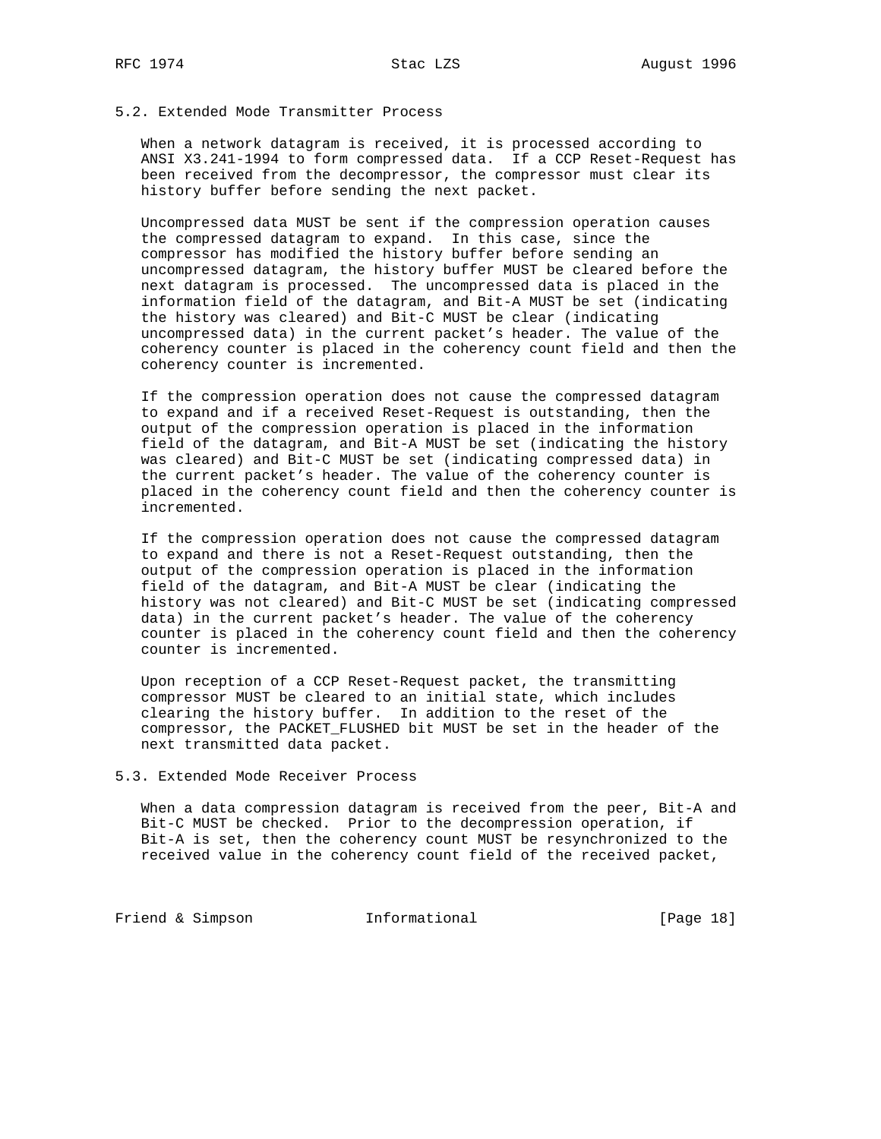# 5.2. Extended Mode Transmitter Process

 When a network datagram is received, it is processed according to ANSI X3.241-1994 to form compressed data. If a CCP Reset-Request has been received from the decompressor, the compressor must clear its history buffer before sending the next packet.

 Uncompressed data MUST be sent if the compression operation causes the compressed datagram to expand. In this case, since the compressor has modified the history buffer before sending an uncompressed datagram, the history buffer MUST be cleared before the next datagram is processed. The uncompressed data is placed in the information field of the datagram, and Bit-A MUST be set (indicating the history was cleared) and Bit-C MUST be clear (indicating uncompressed data) in the current packet's header. The value of the coherency counter is placed in the coherency count field and then the coherency counter is incremented.

 If the compression operation does not cause the compressed datagram to expand and if a received Reset-Request is outstanding, then the output of the compression operation is placed in the information field of the datagram, and Bit-A MUST be set (indicating the history was cleared) and Bit-C MUST be set (indicating compressed data) in the current packet's header. The value of the coherency counter is placed in the coherency count field and then the coherency counter is incremented.

 If the compression operation does not cause the compressed datagram to expand and there is not a Reset-Request outstanding, then the output of the compression operation is placed in the information field of the datagram, and Bit-A MUST be clear (indicating the history was not cleared) and Bit-C MUST be set (indicating compressed data) in the current packet's header. The value of the coherency counter is placed in the coherency count field and then the coherency counter is incremented.

 Upon reception of a CCP Reset-Request packet, the transmitting compressor MUST be cleared to an initial state, which includes clearing the history buffer. In addition to the reset of the compressor, the PACKET\_FLUSHED bit MUST be set in the header of the next transmitted data packet.

## 5.3. Extended Mode Receiver Process

 When a data compression datagram is received from the peer, Bit-A and Bit-C MUST be checked. Prior to the decompression operation, if Bit-A is set, then the coherency count MUST be resynchronized to the received value in the coherency count field of the received packet,

Friend & Simpson **Informational** [Page 18]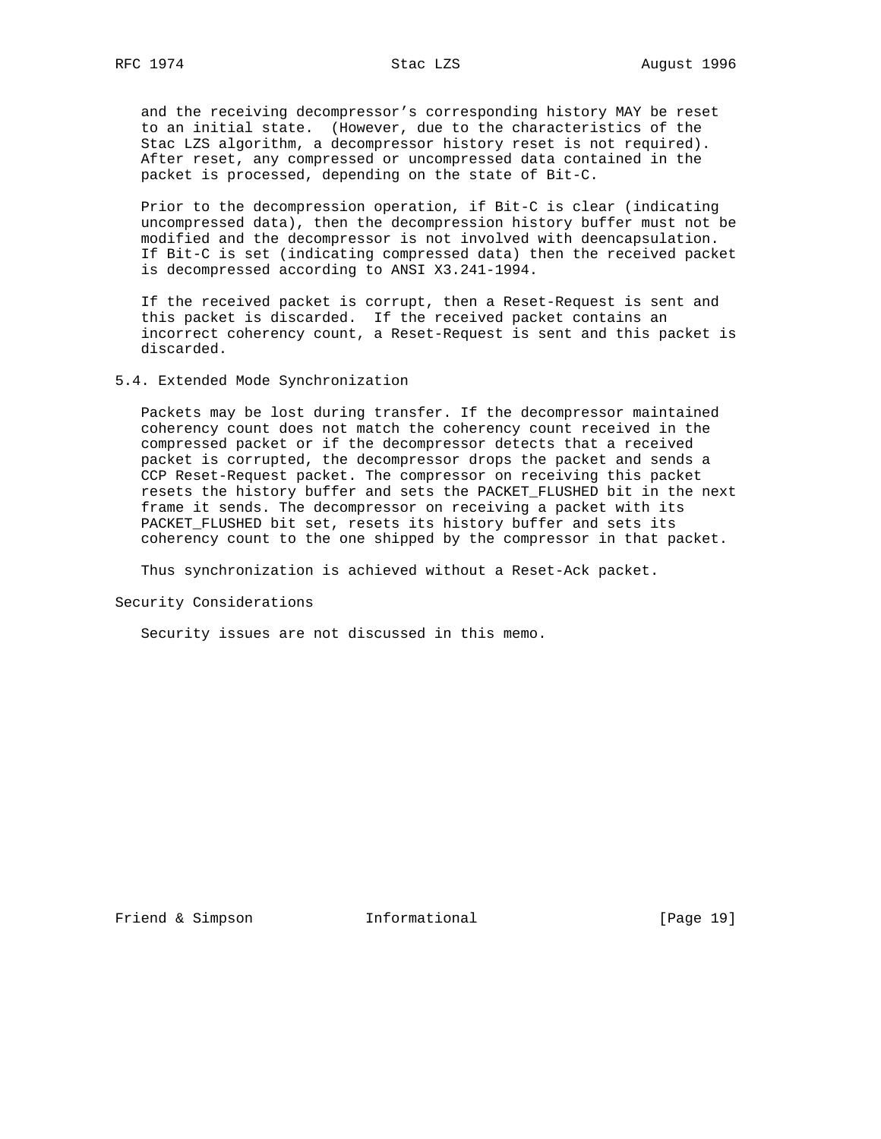and the receiving decompressor's corresponding history MAY be reset to an initial state. (However, due to the characteristics of the Stac LZS algorithm, a decompressor history reset is not required). After reset, any compressed or uncompressed data contained in the packet is processed, depending on the state of Bit-C.

 Prior to the decompression operation, if Bit-C is clear (indicating uncompressed data), then the decompression history buffer must not be modified and the decompressor is not involved with deencapsulation. If Bit-C is set (indicating compressed data) then the received packet is decompressed according to ANSI X3.241-1994.

 If the received packet is corrupt, then a Reset-Request is sent and this packet is discarded. If the received packet contains an incorrect coherency count, a Reset-Request is sent and this packet is discarded.

5.4. Extended Mode Synchronization

 Packets may be lost during transfer. If the decompressor maintained coherency count does not match the coherency count received in the compressed packet or if the decompressor detects that a received packet is corrupted, the decompressor drops the packet and sends a CCP Reset-Request packet. The compressor on receiving this packet resets the history buffer and sets the PACKET\_FLUSHED bit in the next frame it sends. The decompressor on receiving a packet with its PACKET\_FLUSHED bit set, resets its history buffer and sets its coherency count to the one shipped by the compressor in that packet.

Thus synchronization is achieved without a Reset-Ack packet.

Security Considerations

Security issues are not discussed in this memo.

Friend & Simpson **Informational** [Page 19]